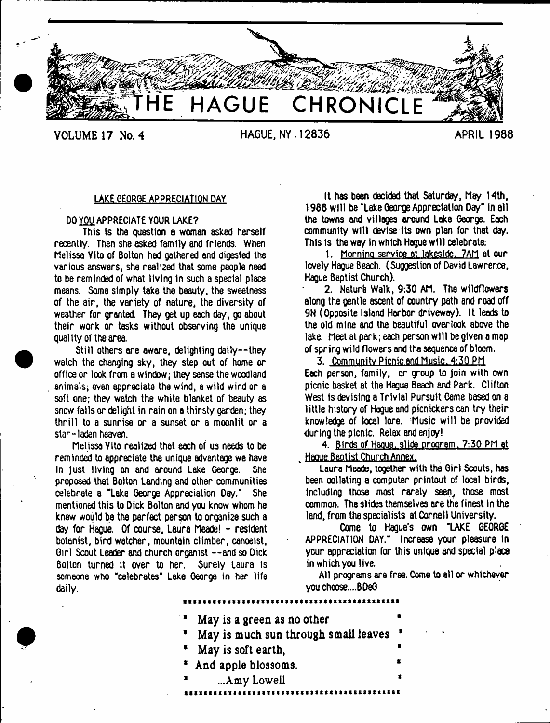

VOLUME 17 No. 4 **HAGUE, NY. 12836 APRIL 1988**

# LAKE GEORGE APPRECIATION DAY

## DO YOU APPRECIATE YOUR LAKE?

This is tha question a woman asked herself recently. Then she asked family and friends. When Melissa Vito of Bolton had gathered and digested the various answers, she realized that some people need to be reminded of what living In such a special place means. Some simply take the beauty, the sweetness of the air, the variety of nature, the diversity of weather for granted. They get up each day, go about their work or tasks without observing the unique quality of the area.

Still others are aware, delighting dai1y--they watch the changing sky, they step out of home or office or look from a window; they sense the woodland animals; even appreciate the wind, a wild wind or a soft one; they watch the white blanket of beauty as snow falls or delight in rain on a thirsty garden; they th rill to a sunrise or a sunset or a moonlit or a star-laden heaven.

Melissa Vito realized that each of us needs to be reminded to appreciate the unique advantage we have In just living on and around Lake George. She proposed that Bolton Landing and other communities celebrate a "Lake George Appreciation Day." She mentioned this to Dick Bolton and you know whom he knew would be the perfect person to organize such a day for Hague. Of course, Laura Meade! - resident botanist, bird watcher, mountain climber, canoeist, Girl Scout Leader and church organist --and so Dick Bolton turned it over to her. Surely Laura is someone who "celebrates" Lake George in her life daily.

it has been decided that Saturday, Msy 14th, 1988 will be "lake George Appreciation Day" in all the towns and villages around Lake George. Each community will devise Its own plan for that day. This is the way in which Haque will celebrate:

1. Morning service at lakeside. 7AM at our lovely Hague Beach. (Suggestion of David Lawrence, Hague Baptist Church).

2. Naturb Walk, 9:30 AM. The wildflowers along the gentle ascent of country path and road off 9N (Opposite Island Harbor driveway). It leads to the old mine and the beautiful overlook above the lake. Meet at park; each person wilt be given a map of spring wild flowers and the sequence of bloom.

3. Community Picnic and Music. 4:30 PM Each person, family, or group to join with own picnic basket at the Hague Beach and Park. Clifton West Is devising a Trivial Pursuit Came based on a little history of Hague and picnickers can try their knowledge of local lore. Music will be provided during the picnic. Relax and enjoy!

4. Birds of Hague, slide program, 7:30 PM at . Hague Baptist Church Annex.

Laura Meade, together with the Girl Scouts, has been xllating a computer printout of local birds, Including those most rarely seen, those most common. The slides themselves are the finest in the land, from the specialists at Cornell University.

Come to Hague's own "LAKE GEORGE APPRECIATION DAY." Increase your pleasure in your appreciation for this unique and special place in which you live.

All programs are free. Come to ell or whichever you choose....BOeG

- May is a green as no other
- May is much sun through small leaves 1
- May is soft earth,
- And apple blossoms.
- <span id="page-0-0"></span>...Amy Lowell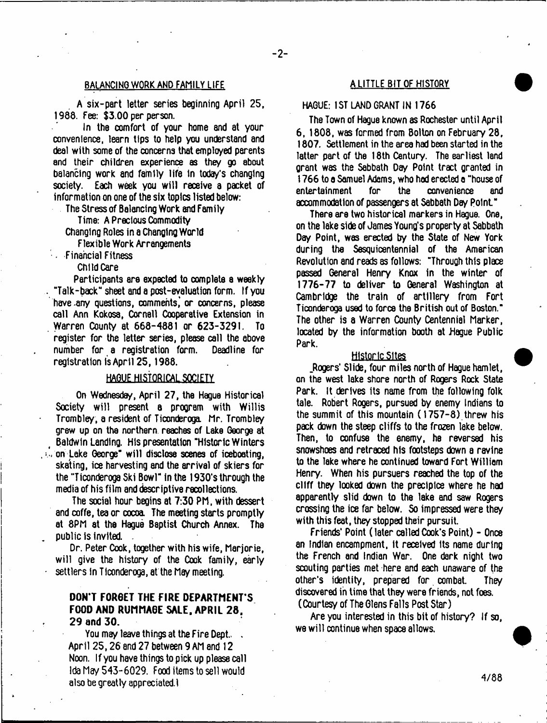# BALANCING WORK AND FAMILY LIFE A LITTLE BIT OF HISTORY

A six-part letter series beginning April 25, 1988. Fee: \$3.00 per person.

In the comfort of your home and at your convenience, learn tips to help you understand and deal with some of the concerns that employed parents and their children experience as they go about balancing work and family life in today's changing society. Each week you will receive a packet of information on one of the six topics listed below:

The Stress of Balancing Work *m l* Family

Time: A Precious Commodity

Changing Roles in a Changing World

Flexible Work Arrangements

 $\sim$  Financial Fitness

Child Care

Participants ere expected to complete a weekly "Talk-back" sheet and a post-evaluation form. If you have .any questions, comments,' or concerns, please call Ann Kokosa, Cornell Cooperative Extension in Warren County at 668-4881 or 623-3291. To register for the letter series, please call the above number for a registration form. Deadline for registration is April 25,1988.

# HAGUE HISTORICAL SOCIETY

On Wednesday, April 27, the Hague Historical Society will present a program with Willis Trombley, a resident of Ticonderoga. Mr. Trombley grew up on the northern reaches of Lake George at Baldwin Landing. His presentation "Historic Winters . on Lake George" will disclose scenes of iceboating, skating, ice harvesting and the arrival of skiers for the "Ticonderoga Ski Bowl" in the 1930's through the media of his film and descriptive recollections.

The social hour begins at 7:30 PM, with dessert and coffe, tea or cocoa. The meeting starts promptly at 8PM at the Hague Baptist Church Annex. The public is invited.

Dr. Peter Cook, together with his wife, Marjorie, will give the history of the Cook family, early settlers in Ticonderoga, at the May meeting.

# DON'T FORGET THE FIRE DEPARTMENT'S FOOD AND RUMMAGE SALE, APRIL 28. 29 and 30.

You may leave things at the Fire Dept. . April 25,26 8nd 27 between 9 AM and 12 Noon. If you have things to pick up please call Ida May 543-6029. Food items to sell would also be greatly appreciated.!

# HAGUE: 1ST LAND GRANT IN 1766

The Town of Hague known as Rochester until April 6, 1808, was formed from Bolton on February 28, 1807. Settlement in the area had been started in the latter part of the 18th Century. The earliest land grant was the Sabbath Day Point tract granted in 1766 to a Samuel Adams, who had erected a "house of entertainment for the convenience and accommodation of passengers at Sabbath Day point"

There are two historical markers in Hague. One, on the lake side of James Young's property at Sabbath Day Point, was erected by the State of New York during the Sesquicentennial of the American Revolution and reads as follows: "Through this place passed General Henry Knox in the winter of 1776-77 to deliver to General Washington at Cambridge the train of artillery from Fort Ticonderoga used to force the British out of Boston." The other is a Warren County Centennial Marker, located by the information booth at Hague Public Park.

#### Historic Sites

.Rogers' Slide, four miles north of Hague hamlet, on the west lake shore north of Rogers Rock State Park. It derives its name from the following folk tale. Robert Rogers, pursued by enemy Indians to the summit of this mountain (1757-8) threw his pack down the steep cliffs to the frozen lake below. Then, to confuse the enemy, he reversed his snowshoes and retraced his footsteps down a ravine to the lake where he continued toward Fort William Henry. When his pursuers reached the top of the cliff they looked down the precipice where he had apparently slid down to the lake end saw Rogers crossing the ice far below. So impressed were they with this feat, they stopped their pursuit.

Friends' Point ( later called Cook's Point) - Once an Indian encampment, it received its name during the French and Indian War. One dark night two scouting parties met here and each unaware of the other's identity, prepared for combat. They discovered in time that they were friends, not foes.

(Courtesy of The Glens Falls Post Star)

Are you interested in this bit of history? If so, we will continue when space allows.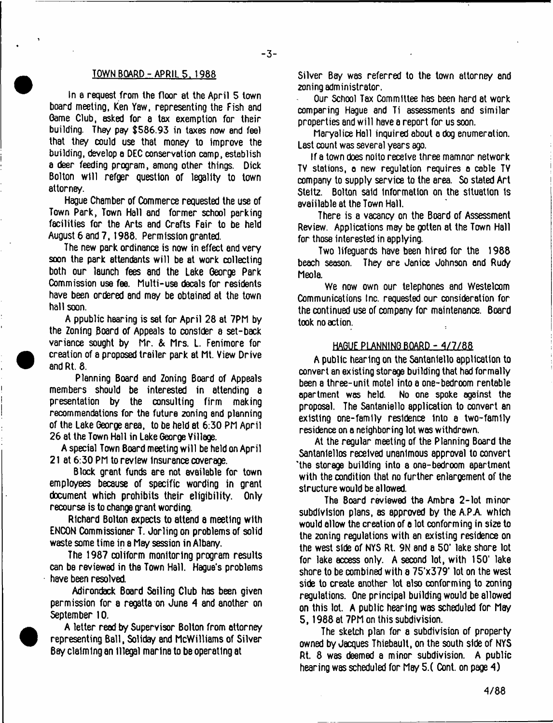#### TOWN BOARD-APRILS. 1988

In a request from the floor at the April 5 town board meeting, Ken Yaw, representing the Fish and Game Club, asked for a tax exemption for their building. They pay \$586.93 in taxes now and feel that they could use that money to improve the building, develop a DEC conservation camp, establish a deer feeding program, among other things. Dick Bolton w ill refger question of legality to town attorney.

Hague Chamber of Commerce requested the use of Town Park, Town Hall and former school parking facilities for the Arts and Crafts Fair to be held August 6 and 7,1988. Permission granted.

The new park ordinance is now in effect and very soon the park attendants will be at work collecting both our launch fees and the Lake George Park Commission use fee. Multi-use decals for residents have been ordered and may be obtained at the town hall soon.

A ppublic hearing is set for April 28 at 7PM by the Zoning Board of Appeals to consider a set-back variance sought by Mr. & Mrs. L. Fenimore for creation of a proposed trailer park at Mt. View Drive and Rt. 8.

Planning Board and Zoning Board of Appeals members should be interested in attending a presentation by the consulting firm making recommendations for the future zoning and planning of the Lake George area, to be held at 6:30 PM April 26 at the Town Hall in Lake George Village.

A special Town Board meeting w ill be held on April 21 at 6:30 PM to review insurance coverage.

Block grant funds are not available for town employees because of specific wording in grant document which prohibits their eligibility. Only recourse is to change grant wording.

Richard Bolton expects to attend a meeting with ENCON Commissioner T. Jorling on problems of solid waste some time in a May session in Albany.

The 1987 coiiform monitoring program results can be reviewed in the Town Hall. Hague's problems have been resolved.

Adirondack Board Sailing Club has been given permission for a regatta on June 4 and another on September 10.

A letter read by Supervisor Bolton from attorney representing Ball, Soliday and McWilliams of Silver Bay claiming an illegal marina to be operating at

Silver Bay was referred to the town attorney and zoning administrator.

Our School Tax Committee has been hard at work comparing Hague and Ti assessments and similar properties and will have a report for us soon.

Maryalice Hall inquired about a dog enumeration. Last count was several years ago.

If a town does noito receive three mamnor network TV stations, o new regulation requires a coble TV company to supply service to the area. So stated Art Steltz. Bolton said Information on the situation is avaiilable at the Town Hall,

There is a vacancy on the Board of Assessment Review. Applications may be gotten at the Town Hall for those interested in applying.

Two lifeguards have been hired for the 1988 beach season. They are Janice Johnson and Rudy Meola.

We now own our telephones and Westelcom Communications Inc. requested our consideration for the continued use of company for maintenance. Board took no action.

## HAGUE PLANNING BOARD - 4/7/88

A public hearing on the Santaniello application to convert an existing storage building that had formally been a three-unit motel into a one-bedroom rentable<br>apartment was held. No one spoke against the No one spoke against the proposal. The Santaniello application to convert an existing one-family residence Into a two-family residence on a neighboring lot was withdrawn.

At the regular meeting of the Planning Board the Santanlellos received unanimous approval to convert 'the storage building into a one-bedroom apartment with the condition that no further enlargement of the structure would be allowed.

The Board reviewed the Ambra 2-lot minor subdivision plans, as approved by the A.P.A. which would allow the creation of a lot conforming in size to the 2oning regulations with an existing residence on the west side of NYS Rt. 9N and a 50' lake shore lot for lake access only. A second lot, with 150' lake shore to be combined with a 75'x379' lot on the west side to create another lot also conforming to zoning regulations. One principal building would be allowed on this lot. A public hearing was scheduled for May 5,1988 at 7PM on this subdivision.

The sketch plan for a subdivision of property owned by Jacques Thiebault, on the south side of NYS Rt. 8 was deemed a minor subdivision. A public hearing was scheduled for May 5.( Cont. on page 4)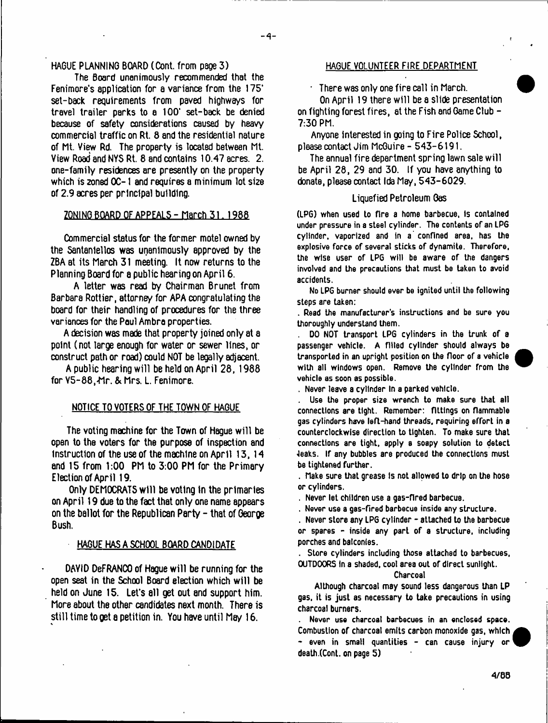$-4-$ 

## HAGUE PLANNING BOARD (Cont. from page 3)

The Board unanimously recommended that the Fenimore's application for a variance from the 175' set-back requirements from paved highways for travel trailer parks to a 100\* set-back be denied because of safety considerations caused by heavy commercial traffic on Rt. 8 and the residential nature of Mt. View Rd. The property is located between Mt. View Road and NYS Rt. 8 and contains 10.47 acres. 2. one-family residences are presently on the property which is zoned OC-1 and requires a minimum lot size of 2.9 acres per principal building.

## ZONING BOARD OF APPEALS - March 31. 1988

Commercial status for the former motel owned by the Santaniellos was unanimously approved by the ZBA at its March 31 meeting. It now returns to the Planning Board for a public hearing on April 6.

A letter was read by Chairman Brunet from Barbara Rottier, attorney for APA congratulating the board for their handling of procedures for the three variances for the Paul Ambra properties.

A decision was made that property joined only at a point (not large enough for water or sewer lines, or construct path or road) could NOT be legally adjacent.

A public hearing will be held on April 28, 1988 for V5-88, Mr. & Mrs. L. Fenimore.

#### NOTICE TO VOTERS OF THE TOWN OF HAGUE

The voting machine for the Town of Hague will be open to the voters for the purpose of inspection and instruction of the use of the machine on April 13,14 and 15 from 1:00 PM to 3:00 PM for the Primary Election of April 19.

Only DEMOCRATS w ill be voting in the primaries on April 19 due to the fact that only one name appears on the ballot for the Republican Party  $-$  that of George Bush.

#### HAGUE HAS A SCHOOL BOARD CANDIDATE

DAYID DeFRANCO of Hague will be running for the open seat in the School Board election which w ill be held on June 15. Let's all get out and support him. More about the other candidates next month. There is still time to get a petition in. You have until May 16.

### HAGUE VOLUNTEER FIRE DEPARTMENT

• There was only one fire call in March.

On April 19 there will be a slide presentation on fighting forest fires, at the Fish and Game Club - 7:30 PM.

Anyone interested in going to Fire Police School, please contact Jim McGuire - 543-6191.

The annual fire department spring lawn sale will be April 28, 29 and 30. If you have anything to donate, please contact Ida May, 543-6029.

#### Liquefied Petroleum Gas

(LPG) when used to (Ire a home barbecue, Is contained under pressure in a steel cylinder. The contents of an LPG cylinder, vaporized and in a confined area, has the explosive force of several sticks of dynamite. Therefore, the wise user of LPG will be aware of the dangers involved and the precautions that must be taken to avoid accidents.

No LPG burner should ever be ignited until the following steps are taken:

. Read the manufacturer's instructions and be sure you thoroughly understand them.

DO NOT transport LPG cylinders in the trunk of a passenger vehicle. A filled cylinder should always be transported in an upright position on the floor of a vehicle with all windows open. Remove the cylinder from the vehicle as soon as possible.



. Never leave a cylinder In a parked vehicle.

Use the proper size wrench to make sure that all connections are tight. Remember: fittings on flammable gas cylinders have left-hand threads, requiring efforL in a counterclockwise direction to tighten. To make sure that connections are tight, apply a soapy solution to detect •leaks. If any bubbles are produced the connections must be tightened further.

. Make sure that grease Is not allowed to drip on the hose or cylinders.

. Never let children use a gas-fired barbecue.

. Never use a gas-fired barbecue inside any structure.

. Never store any LPG cylinder - attached to the barbecue or spares - Inside any part of a structure, including porches and balconies.

. Store cylinders including those attached to barbecues, OUTDOORS In a shaded, coot area out of direct sunlight.

#### Charcoal

Although charcoal may sound less dangerous than LP gas, it is just as necessary to take precautions in using charcoal burners.

Never use charcoal barbecues in an enclosed space. Combustion of charcoal emits carbon monoxide gas, which - even in small quantities - can cause injury or death .(Cont, on page 5)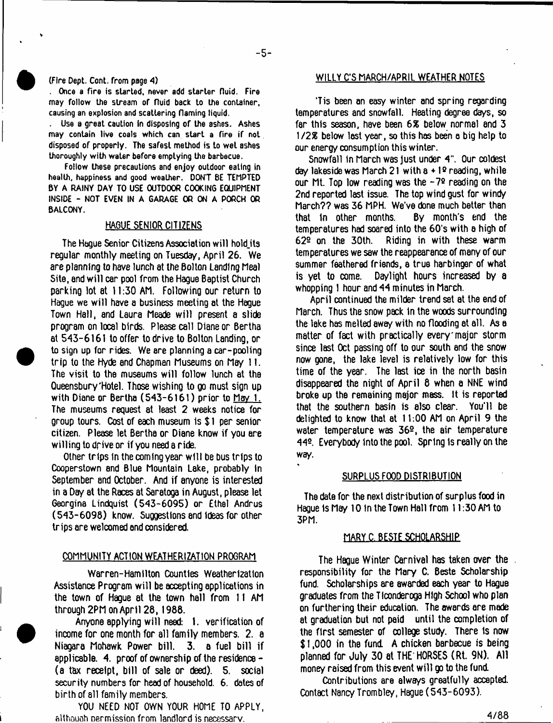#### (Fire Dept. Cont. from page *A)*

. Once a fire is started, never add starter fluid. Fire may follow the stream of fluid back to the container, causing an explosion and scattering flaming liquid.

Use a great caution in disposing of the ashes. Ashes may contain live coals which can start a fire if not disposed of properly. The safest method is to wet ashes thoroughly with water before emptying the barbecue.

Follow these precautions and enjoy outdoor eating in health, happiness and good weather. DON'T 8E TEMPTED BY A RAINY DAY TO USE OUTDOOR COOKING EQUIPMENT INSIDE - NOT EVEN IN A GARAGE OR ON A PORCH OR BALCONY.

### HAGUE SENIOR CITIZENS

The Hague Senior Citizens Association will hold its regular monthly meeting on Tuesday, April 26. We are planning to have lunch at the Bolton Landing Meal Site, and will car pool from the Hague Baptist Church parking lot at 11:30 AM. Following our return to Hague we will have a business meeting at the Hague Town Hall, and Laura Meade will present a slide program on local birds. Please call Diane or Bertha at 543-6161 to offer to drive to Bolton Landing, or to sign up for rides. We are planning a car-pooling trip to the Hyde and Chapman Museums on May 11. The visit to the museums will follow lunch at the Gueensbury'Hotel. Those wishing to go must sign up with Diane or Bertha (543-6161) prior to May 1. The museums request at least 2 weeks notice for group tours. Cost of each museum is \$1 per senior citizen. Please let Bertha or Diane know if you are willing to drive or if you need a ride.

Other trips in the coming year w ill be bus trips to Cooperstown and Blue Mountain Lake, probably In September and October. And if anyone is interested in a Day at the Races at Saratoga in August, please let Georgina Lindquist (543-6095) or Ethel Andrus (543-6098) know. Suggestions end ideas for other trips are welcomed and considered.

#### COMMUNITY ACTION WEATHERIZATION PROGRAM

Warren-Hamilton Counties Weatherizatton Assistance Program will be accepting applications in the town of Hague at the town hall from II AM through 2PM on April 28,1988.

Anyone applying will need: 1. verification of income for one month for all family members. 2. a Niagara Mohawk Power bill. 3. a fuel bill if applicable. 4. proof of ownership of the residence - (a tax receipt, bill of sale or deed). 5. social security numbers for head of household. 6. dates of birth of all family members.

YOU NEED NOT OWN YOUR HOME TO APPLY, **aUhouoh nermission from landlord is necessary.**

## WILLY C'S MARCH/APRIL WEATHER NOTES

'Tis been an easy winter and spring regarding temperatures and snowfall. Heating degree days, so far this season, have been 6% below normal and 3 1*12%* below lost year, so this has been a big help to our energy consumption this winter.

Snowfall in March was just under 4". Our coldest day lakeside was March 21 with a + 1*Q* reading, while our Mt. Top low reading was the  $-7<sup>2</sup>$  reading on the 2nd reported last issue. The top wind gust for windy March?? was 36 MPH. We've done much better than that in other months. By month's end the temperatures had soared into the 60's with a high of 622 on the 30th. Riding in with these warm temperatures we saw the reappearance of many of our summer feathered friends, a true harbinger of what is yet to come. Daylight hours increased by a whopping 1 hour and 44 minutes in March.

April continued the milder trend set at the end of March. Thus the snow pack in the woods surrounding the lake has melted away with no flooding at all. As a matter of fact with practically every'major storm since last Oct passing off to our south and the snow now gone, the lake level is relatively low for this time of the year. The last ice in the north basin disappeared the night of April 8 when a NNE wind broke up the remaining major mass. It is reported that the southern basin is also clear. You'll be delighted to know that at 11:00 AM on April 9 the water temperature was  $36<sup>o</sup>$ , the air temperature 44<sup>o</sup>. Everybody into the pool. Spring is really on the way.

#### SURPLUS FOOD DISTRIBUTION

The date for the next distribution of surplus food in Hague Is May 10 In the Town Hall from 11:30 AM to 3PM.

#### MARY C.BESTE SCHOLARSHIP

The Hague Winter Carnival has taken over the . responsibility for the Mary C. Beste Scholarship fund. Scholarships are awarded each year to Hague graduates from the Ticonderoga High School who plan on furthering their education. The awards are made at graduation but not paid until the completion of the first semester of college study. There is now \$ 1,000 in the fund. A chicken barbecue is being planned for July 30 at THE\*HORSES (Rt. 9N). All money raised from this event will go to the fund.

Contributions are elwsys greatfully accepted. Contact Nancy Trombley, Hague (543-6093).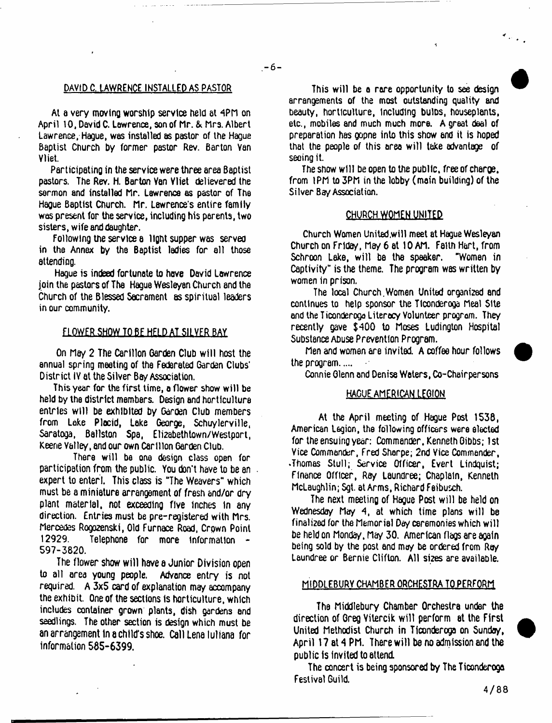## DAVID C. LAWRENCE INSTALLED AS PASTOR

At a very moving worship service held at 4PM on April 10, David C. Lawrence, son of Mr. & Mrs. Albert Lawrence, Hague, was installed as pastor of the Hague Baptist Church by former pastor Rev. Barton Van Vliet.

Participating in the service were three area Baptist pastors. The Rev. H. Barton Van Vliet delievered the sermon and installed Mr. Lawrence as pastor of The Hague Baptist Church. Mr. Lawrence's entire family was present for the service, including his parents, two sisters, wife and daughter.

following the service a light supper was served in the Annex by the Baptist ladies for all those attending.

Haque is indeed fortunate to have David Lawrence join the pastors of The Hague Wesleyan Church and the Church of the Blessed Sacrament as spiritual leaders in our community.

#### **ELOWER SHOW TO BE HELD AT SILVER BAY**

On May 2 The Carillon Garden Club w ill host the annual spring meeting of the Federated Garden Clubs' District IV at the Silver Bay Association.

This year for the first time, a flower show w ill be held by the district members. Design and horticulture entries will be exhibited by Garden Club members from Lake Plocid, Lake George, Schuylerville, Saratoga, Ballston Spa, Elizabethtown/Westport, Keene Valley, and our own Carillon Garden Club.

There will be one design class open for participation from the public. You don't have to be an expert to enter!. This class is "The Weavers" which must be a miniature arrangement of fresh and/or dry plant materiel, not exceeding five inches in any direction. Entries must be pre-registered with Mrs. Mercedes Rogozenski, Old Furnace Road, Crown Point<br>12929. – Telephone for more information Telephone for more information -597-3820.

The flower show will have a Junior Division open to all area young people. Advance entry is not required. A 3x5 card of explanation may accompany the exhibit. One of the sections is horticulture, which includes container grown plants, dish gardens and seedlings. The other section is design which must be an arrangement in a child's shoe. Call Lena luliana for information 585-6399.

This will be a rare opportunity to see design arrangements of the most outstanding quality and beauty, horticulture, Including bulDs, houseplants, etc., mobiles and much much more. A great deal of preparation has gopne into this show end it is hoped that the people of this area will take advantage of seeing it.

The show will be open to the public, free of charoe, from 1PM to 3PM in the lobby (main building) of the Silver Bay Association.

#### CHURCH WOMEN UNITED

Church Women United,will meet at Hague Wesleyan Church on Friday, May 6 at 10 AM. Faith Hart, from Schroon Lake, will be the speaker. "Women in Captivity" is the theme. The program was written by women in prison.

The local Church.Women United organized and continues to help sponsor the Ticonderoga Meal Site and the Ticonderoga Literacy Volunteer program. They recently gave \$400 to Moses Ludington Hospital Substance Abuse Prevention Program.

Men and women are invited. A coffee hour follows the program....

Connie Olenn and Denise Waters, Co-Chairpersons

# HAGUE AMERICAN LEGION

At the April meeting of Hague Post 1538, American Legion, the following officers were elected for the ensuing year: Commander, Kenneth Gibbs; 1st Vice Commander, Fred Sharpe; 2nd Vice Commander, .Thomas Stul); Service Officer, Evert Lindquist; Finance Officer, Ray Laundree; Chaplain, Kenneth McLaughlin; Sgt. at Arms, Richard Feibusch.

The next meeting of Hague Post will be held on Wednesday May 4, at which time plans will be finalized for the Memorial Day ceremonies which will be held on Monday, May 30. American flags are again being sold by the post and may be ordered from Ray Laundree or Bernie Clifton. All si2es are available.

#### MIODLEBURY CHAMBER ORCHESTRA TO PERFORM

The Middlebury Chamber Orchestra under the direction of Greg Vitercik w ill perform at the First United Methodist Church in Ticonderoga on Sunday, April 17 at 4 PM. There will be no admission and the public Is invited to attend.

The concert is being sponsored by The Ticonderoga Festival Guild.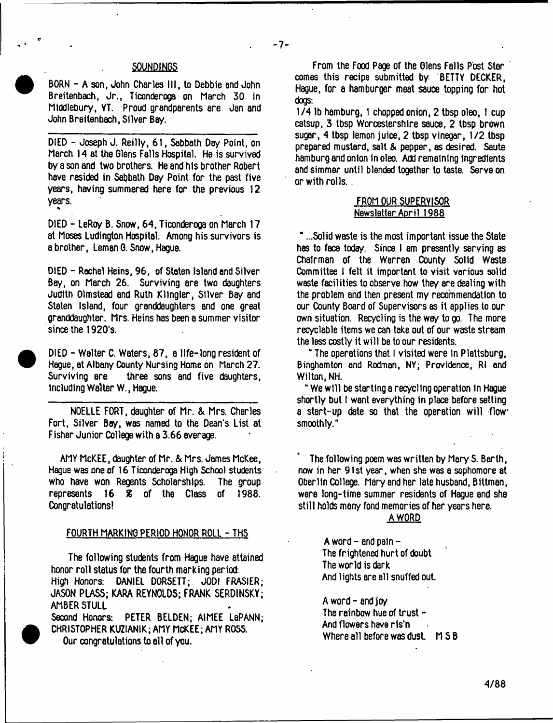# -7-

#### **SOUNDINGS**

BORN - A son, John Charles III, to Debbie and John Breitenbach, Jr., Ticonderoga on March 30 in Middlebury, YT. Proud grandparents are Jan and John Breitenbach, Silver Bay.

DIED - Joseph J. Reilly, 61, Sabbath Day Point, on March 14 at the Glens Falls Hospital. He is survived by a son and two brothers. He and his brother Robert have resided in Sabbath Day Point for the past five years, having summered here for the previous 12 years.

DIED - LeRoy B. Snow, 64, Ticonderoga on March 17 at Moses Ludington Hospital. Among his survivors is a brother, Leman G. Snow, Hague.

\*

<sup>•</sup>

DIED - Rachel Heins, 96, of Staten Island and Silver Bay, on March 26. Surviving are two daughters Judith Olmstead end Ruth Kllngler, Silver Bay and Staten Island, four granddaughters and one great granddaughter. Mrs. Heins has been a summer visitor since the 1920's.

 DIED - Walter C. Waters, 87, a life-long resident of Hague, at Albany County Nursing Home on March 27. Surviving are three sons and five daughters, including Walter W., Hague.

NOELLE FORT, daughter of Mr. & Mrs. Charles Fort, Silver Boy, was named to the Dean's List at Fisher Junior College with a 3.66 average.

AMY McKEE, daughter of Mr. & Mrs. James McKee, Hague was one of 16 Ticonderoga High School students who have won Regents Scholarships. The group represents 16 *%* of the Class of 1988. Congratulations!

#### FOURTH MARKING PERIOD HONOR ROLL - THS

The following students from Hague have attained honor roll status for the fourth marking period: High Honors: DANIEL DORSETT; JODI FRASIER; JASON PLASS; KARA REYNOLDS; FRANK SERDINSKY; AMBER STULL

Second Honors: PETER BELDEN; A1MEE LaPANN; CHRISTOPHER KUZIAN1K; AMY MCKEE; AMY ROSS. Our congratulations to all of you.

From the Food Page of the Glens Falls Post Star comes this recipe submitted by BETTY DECKER, Hague, for a hamburger meat sauce topping for hot dogs:

1/4 lb hamburg, 1 chopped onion, 2 tbsp oleo, 1 cup catsup, 3 tbsp Worcestershire sauce, 2 tbsp brown sugar, 4 tbsp lemon juice, 2 tbsp vinegar, 1/2 tbsp prepared mustard, salt & pepper, as desired. Saute hamburg and onion In oleo. Add remaining ingredients and simmer until blended together to taste. Serve on or with rolls...

## FROM OUR SUPERVISOR Newsletter April 1988

" ...Solid waste is the most important issue the State has to face today. Since I am presently serving as Chairman of the Warren County Solid Waste Committee 1 felt it important to visit various solid waste facilities to observe how they are dealing with the problem and then present my recommendation to our County Board of Supervisors as it applies to our own situation. Recycling is the way to go. The more recyclable items we can take out of our waste stream the less costly it will be to our residents.

" The operations that I visited were in Plattsburg, Binghamton and Rodman, NY; Providence, Rl and Wilton, NH.

" We w ill be starting a recycling operation in Hague shortly but I want everything in place before setting a start-up date so that the operation will flow smoothly."

The following poem was written by Mery S. Barth, now in her 91st year, when she was a sophomore at Oderlln College. Mary and her late husband, Blttman, were long-time summer residents of Hague and she still holds many fond memories of her years here.

## A WORD

A word  $-$  and pain  $-$ The frightened hurt of doubt The world is dark And lights are all snuffed out.

A word-and joy The rainbow hue of trust  $-$ And flowers have ris'n Where all before was dust.  $MSB$